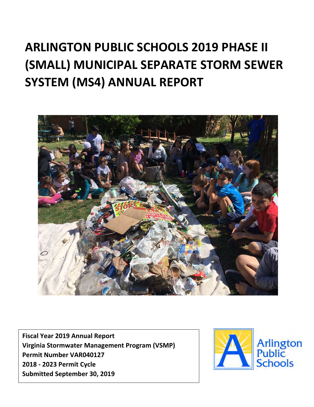# **ARLINGTON PUBLIC SCHOOLS 2019 PHASE II (SMALL) MUNICIPAL SEPARATE STORM SEWER SYSTEM (MS4) ANNUAL REPORT**



**Fiscal Year 2019 Annual Report Virginia Stormwater Management Program (VSMP) Permit Number VAR040127 2018 - 2023 Permit Cycle Submitted September 30, 2019**

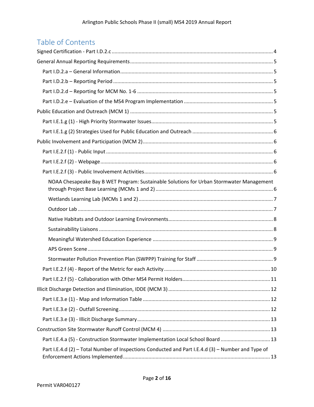# Table of Contents

| NOAA Chesapeake Bay B WET Program: Sustainable Solutions for Urban Stormwater Management |
|------------------------------------------------------------------------------------------|
|                                                                                          |
|                                                                                          |
|                                                                                          |
|                                                                                          |
|                                                                                          |
|                                                                                          |
|                                                                                          |
|                                                                                          |
|                                                                                          |
|                                                                                          |
|                                                                                          |
|                                                                                          |
|                                                                                          |
|                                                                                          |
|                                                                                          |
| Part I.E.4.a (5) - Construction Stormwater Implementation Local School Board  13         |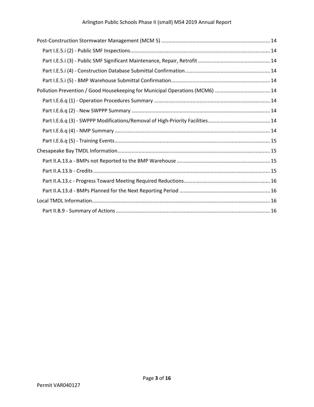| Pollution Prevention / Good Housekeeping for Municipal Operations (MCM6)  14 |  |
|------------------------------------------------------------------------------|--|
|                                                                              |  |
|                                                                              |  |
|                                                                              |  |
|                                                                              |  |
|                                                                              |  |
|                                                                              |  |
|                                                                              |  |
|                                                                              |  |
|                                                                              |  |
|                                                                              |  |
|                                                                              |  |
|                                                                              |  |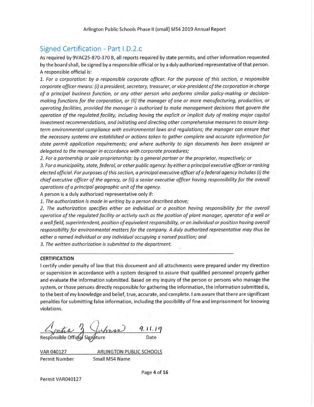Arlington Public Schools Phase II (small) MS4 2019 Annual Report

# Signed Certification - Part I.D.2.c

As required by 9VAC25-870-370 B, all reports required by state permits, and other information requested by the board shall, be signed by a responsible official or by a duly authorized representative of that person. A responsible official is:

1. For a corporation: by a responsible corporate officer. For the purpose of this section, a responsible corporate officer means: (i) a president, secretary, treasurer, or vice-president of the corporation in charge of a principal business function, or any other person who performs similar policy-making or decisionmaking functions for the corporation, or (ii) the manager of one or more manufacturing, production, or operating facilities, provided the manager is authorized to make management decisions that govern the operation of the regulated facility, including having the explicit or implicit duty of making major capital investment recommendations, and initiating and directing other comprehensive measures to assure longterm environmental compliance with environmental laws and regulations; the manager can ensure that the necessary systems are established or actions taken to gather complete and accurate information for state permit application requirements; and where authority to sign documents has been assigned or delegated to the manager in accordance with corporate procedures;

2. For a partnership or sole proprietorship: by a general partner or the proprietor, respectively; or

3. For a municipality, state, federal, or other public agency: by either a principal executive officer or ranking elected official. For purposes of this section, a principal executive officer of a federal agency includes (i) the chief executive officer of the agency, or (ii) a senior executive officer having responsibility for the overall operations of a principal geographic unit of the agency.

A person is a duly authorized representative only if:

1. The authorization is made in writing by a person described above;

2. The authorization specifies either an individual or a position having responsibility for the overall operation of the regulated facility or activity such as the position of plant manager, operator of a well or a well field, superintendent, position of equivalent responsibility, or an individual or position having overall responsibility for environmental matters for the company. A duly authorized representative may thus be either a named individual or any individual occupying a named position; and

3. The written authorization is submitted to the department.

#### **CERTIFICATION**

I certify under penalty of law that this document and all attachments were prepared under my direction or supervision in accordance with a system designed to assure that qualified personnel properly gather and evaluate the information submitted. Based on my inquiry of the person or persons who manage the system, or those persons directly responsible for gathering the information, the information submitted is, to the best of my knowledge and belief, true, accurate, and complete. I am aware that there are significant penalties for submitting false information, including the possibility of fine and imprisonment for knowing violations.

2 Juhren

VAR 040127 **ARLINGTON PUBLIC SCHOOLS Permit Number** Small MS4 Name

Page 4 of 16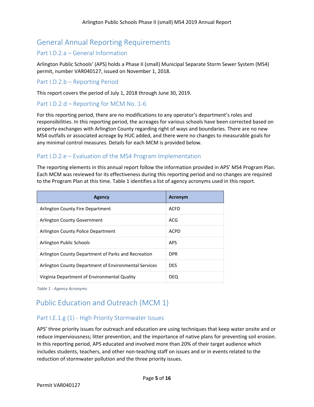# <span id="page-4-0"></span>General Annual Reporting Requirements

## <span id="page-4-1"></span>Part I.D.2.a – General Information

Arlington Public Schools' (APS) holds a Phase II (small) Municipal Separate Storm Sewer System (MS4) permit, number VAR040127, issued on November 1, 2018.

#### <span id="page-4-2"></span>Part I.D.2.b – Reporting Period

This report covers the period of July 1, 2018 through June 30, 2019.

#### <span id="page-4-3"></span>Part I.D.2.d – Reporting for MCM No. 1-6

For this reporting period, there are no modifications to any operator's department's roles and responsibilities. In this reporting period, the acreages for various schools have been corrected based on property exchanges with Arlington County regarding right of ways and boundaries. There are no new MS4 outfalls or associated acreage by HUC added, and there were no changes to measurable goals for any minimal control measures. Details for each MCM is provided below.

## <span id="page-4-4"></span>Part I.D.2.e – Evaluation of the MS4 Program Implementation

The reporting elements in this annual report follow the information provided in APS' MS4 Program Plan. Each MCM was reviewed for its effectiveness during this reporting period and no changes are required to the Program Plan at this time. Table 1 identifies a list of agency acronyms used in this report.

| <b>Agency</b>                                         | <b>Acronym</b> |
|-------------------------------------------------------|----------------|
| Arlington County Fire Department                      | <b>ACFD</b>    |
| Arlington County Government                           | <b>ACG</b>     |
| Arlington County Police Department                    | <b>ACPD</b>    |
| Arlington Public Schools                              | <b>APS</b>     |
| Arlington County Department of Parks and Recreation   | <b>DPR</b>     |
| Arlington County Department of Environmental Services | <b>DES</b>     |
| Virginia Department of Environmental Quality          | <b>DEQ</b>     |

*Table 1 - Agency Acronyms*

# <span id="page-4-5"></span>Public Education and Outreach (MCM 1)

## <span id="page-4-6"></span>Part I.E.1.g (1) - High Priority Stormwater Issues

APS' three priority issues for outreach and education are using techniques that keep water onsite and or reduce imperviousness; litter prevention; and the importance of native plans for preventing soil erosion. In this reporting period, APS educated and involved more than 20% of their target audience which includes students, teachers, and other non-teaching staff on issues and or in events related to the reduction of stormwater pollution and the three priority issues.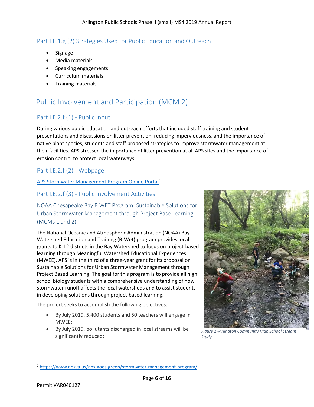# <span id="page-5-0"></span>Part I.E.1.g (2) Strategies Used for Public Education and Outreach

- Signage
- Media materials
- Speaking engagements
- Curriculum materials
- Training materials

# <span id="page-5-1"></span>Public Involvement and Participation (MCM 2)

# <span id="page-5-2"></span>Part I.E.2.f (1) - Public Input

During various public education and outreach efforts that included staff training and student presentations and discussions on litter prevention, reducing imperviousness, and the importance of native plant species, students and staff proposed strategies to improve stormwater management at their facilities. APS stressed the importance of litter prevention at all APS sites and the importance of erosion control to protect local waterways.

# <span id="page-5-3"></span>Part I.E.2.f (2) - Webpage

#### [APS Stormwater Management Program Online Portal](https://www.apsva.us/aps-goes-green/stormwater-management-program/)[1](#page-5-6)

# <span id="page-5-4"></span>Part I.E.2.f (3) - Public Involvement Activities

<span id="page-5-5"></span>NOAA Chesapeake Bay B WET Program: Sustainable Solutions for Urban Stormwater Management through Project Base Learning (MCMs 1 and 2)

The National Oceanic and Atmospheric Administration (NOAA) Bay Watershed Education and Training (B-Wet) program provides local grants to K-12 districts in the Bay Watershed to focus on project-based learning through Meaningful Watershed Educational Experiences (MWEE). APS is in the third of a three-year grant for its proposal on Sustainable Solutions for Urban Stormwater Management through Project Based Learning. The goal for this program is to provide all high school biology students with a comprehensive understanding of how stormwater runoff affects the local watersheds and to assist students in developing solutions through project-based learning.

The project seeks to accomplish the following objectives:

- By July 2019, 5,400 students and 50 teachers will engage in MWEE;
- By July 2019, pollutants discharged in local streams will be significantly reduced;



*Figure 1 -Arlington Community High School Stream Study*

 $\overline{\phantom{a}}$ 

<span id="page-5-6"></span><sup>1</sup> <https://www.apsva.us/aps-goes-green/stormwater-management-program/>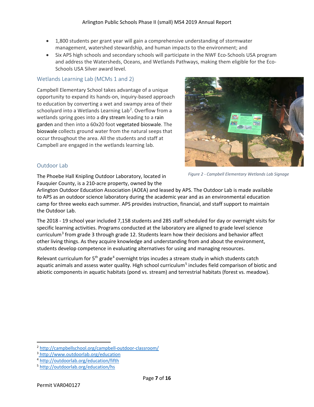- 1,800 students per grant year will gain a comprehensive understanding of stormwater management, watershed stewardship, and human impacts to the environment; and
- Six APS high schools and secondary schools will participate in the NWF Eco-Schools USA program and address the Watersheds, Oceans, and Wetlands Pathways, making them eligible for the Eco-Schools USA Silver award level.

#### <span id="page-6-0"></span>Wetlands Learning Lab (MCMs 1 and 2)

Campbell Elementary School takes advantage of a unique opportunity to expand its hands-on, inquiry-based approach to education by converting a wet and swampy area of their schoolyard into a Wetlands Learning Lab<sup>[2](#page-6-2)</sup>. Overflow from a wetlands spring goes into a dry stream leading to a rain garden and then into a 60x20 foot vegetated bioswale. The bioswale collects ground water from the natural seeps that occur throughout the area. All the students and staff at Campbell are engaged in the wetlands learning lab.



#### <span id="page-6-1"></span>Outdoor Lab

The Phoebe Hall Knipling Outdoor Laboratory, located in Fauquier County, is a 210-acre property, owned by the

*Figure 2 - Campbell Elementary Wetlands Lab Signage*

Arlington Outdoor Education Association (AOEA) and leased by APS. The Outdoor Lab is made available to APS as an outdoor science laboratory during the academic year and as an environmental education camp for three weeks each summer. APS provides instruction, financial, and staff support to maintain the Outdoor Lab.

The 2018 - 19 school year included 7,158 students and 285 staff scheduled for day or overnight visits for specific learning activities. Programs conducted at the laboratory are aligned to grade level science curriculum[3](#page-6-3) from grade 3 through grade 12. Students learn how their decisions and behavior affect other living things. As they acquire knowledge and understanding from and about the environment, students develop competence in evaluating alternatives for using and managing resources.

Relevant curriculum for  $5<sup>th</sup>$  grade<sup>[4](#page-6-4)</sup> overnight trips incudes a stream study in which students catch aquatic animals and assess water quality. High school curriculum<sup>[5](#page-6-5)</sup> includes field comparison of biotic and abiotic components in aquatic habitats (pond vs. stream) and terrestrial habitats (forest vs. meadow).

 $\overline{a}$ 

<span id="page-6-2"></span><sup>2</sup> <http://campbellschool.org/campbell-outdoor-classroom/>3

<span id="page-6-3"></span><sup>&</sup>lt;sup>3</sup><http://www.outdoorlab.org/education>

<span id="page-6-4"></span><sup>4</sup> <http://outdoorlab.org/education/fifth>5 <http://outdoorlab.org/education/hs>

<span id="page-6-5"></span>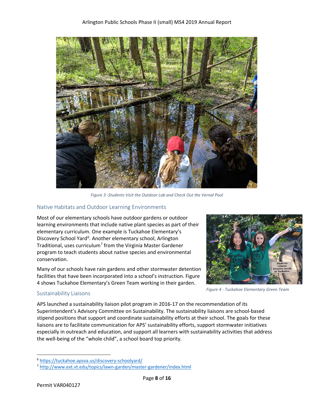

*Figure 3 -Students Visit the Outdoor Lab and Check Out the Vernal Pool*

#### <span id="page-7-0"></span>Native Habitats and Outdoor Learning Environments

Most of our elementary schools have outdoor gardens or outdoor learning environments that include native plant species as part of their elementary curriculum. One example is Tuckahoe Elementary's Discovery School Yard<sup>[6](#page-7-2)</sup>. Another elementary school, Arlington Traditional, uses curriculum<sup>[7](#page-7-3)</sup> from the Virginia Master Gardener program to teach students about native species and environmental conservation.

Many of our schools have rain gardens and other stormwater detention facilities that have been incorporated into a school's instruction. Figure 4 shows Tuckahoe Elementary's Green Team working in their garden.



*Figure 4 - Tuckahoe Elementary Green Team*

#### <span id="page-7-1"></span>Sustainability Liaisons

APS launched a sustainability liaison pilot program in 2016-17 on the recommendation of its Superintendent's Advisory Committee on Sustainability. The sustainability liaisons are school-based stipend positions that support and coordinate sustainability efforts at their school. The goals for these liaisons are to facilitate communication for APS' sustainability efforts, support stormwater initiatives especially in outreach and education, and support all learners with sustainability activities that address the well-being of the "whole child", a school board top priority.

 $\overline{a}$ 

<span id="page-7-3"></span><span id="page-7-2"></span><sup>&</sup>lt;sup>6</sup> https://tuckahoe.apsva.us/discovery-schoolyard/<br><sup>7</sup> http://www.ext.vt.edu/topics/lawn-garden/master-gardener/index.html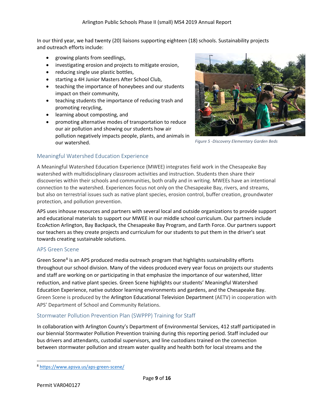In our third year, we had twenty (20) liaisons supporting eighteen (18) schools. Sustainability projects and outreach efforts include:

- growing plants from seedlings,
- investigating erosion and projects to mitigate erosion,
- reducing single use plastic bottles,
- starting a 4H Junior Masters After School Club,
- teaching the importance of honeybees and our students impact on their community,
- teaching students the importance of reducing trash and promoting recycling,
- learning about composting, and
- promoting alternative modes of transportation to reduce our air pollution and showing our students how air pollution negatively impacts people, plants, and animals in our watershed.



*Figure 5 - Discovery Elementary Garden Beds Figure 5 -Discovery Elementary Garden Beds*

#### <span id="page-8-0"></span>Meaningful Watershed Education Experience

A Meaningful Watershed Education Experience (MWEE) integrates field work in the Chesapeake Bay watershed with multidisciplinary classroom activities and instruction. Students then share their discoveries within their schools and communities, both orally and in writing. MWEEs have an intentional connection to the watershed. Experiences focus not only on the Chesapeake Bay, rivers, and streams, but also on terrestrial issues such as native plant species, erosion control, buffer creation, groundwater protection, and pollution prevention.

APS uses inhouse resources and partners with several local and outside organizations to provide support and educational materials to support our MWEE in our middle school curriculum. Our partners include EcoAction Arlington, Bay Backpack, the Chesapeake Bay Program, and Earth Force. Our partners support our teachers as they create projects and curriculum for our students to put them in the driver's seat towards creating sustainable solutions.

#### <span id="page-8-1"></span>APS Green Scene

Green Scene<sup>[8](#page-8-3)</sup> is an APS produced media outreach program that highlights sustainability efforts throughout our school division. Many of the videos produced every year focus on projects our students and staff are working on or participating in that emphasize the importance of our watershed, litter reduction, and native plant species. Green Scene highlights our students' Meaningful Watershed Education Experience, native outdoor learning environments and gardens, and the Chesapeake Bay. Green Scene is produced by the Arlington Educational Television Department (AETV) in cooperation with APS' Department of School and Community Relations.

#### <span id="page-8-2"></span>Stormwater Pollution Prevention Plan (SWPPP) Training for Staff

In collaboration with Arlington County's Department of Environmental Services, 412 staff participated in our biennial Stormwater Pollution Prevention training during this reporting period. Staff included our bus drivers and attendants, custodial supervisors, and line custodians trained on the connection between stormwater pollution and stream water quality and health both for local streams and the

 $\overline{\phantom{a}}$ 

<span id="page-8-3"></span><sup>8</sup> <https://www.apsva.us/aps-green-scene/>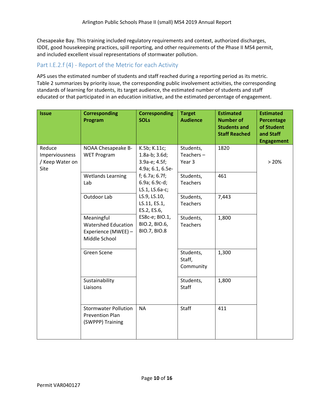Chesapeake Bay. This training included regulatory requirements and context, authorized discharges, IDDE, good housekeeping practices, spill reporting, and other requirements of the Phase II MS4 permit, and included excellent visual representations of stormwater pollution.

# <span id="page-9-0"></span>Part I.E.2.f (4) - Report of the Metric for each Activity

APS uses the estimated number of students and staff reached during a reporting period as its metric. Table 2 summarizes by priority issue, the corresponding public involvement activities, the corresponding standards of learning for students, its target audience, the estimated number of students and staff educated or that participated in an education initiative, and the estimated percentage of engagement.

| <b>Issue</b>                                        | <b>Corresponding</b><br>Program                                                  | <b>Corresponding</b><br><b>SOLs</b>                                  | <b>Target</b><br><b>Audience</b>    | <b>Estimated</b><br><b>Number of</b><br><b>Students and</b><br><b>Staff Reached</b> | <b>Estimated</b><br><b>Percentage</b><br>of Student<br>and Staff<br><b>Engagement</b> |
|-----------------------------------------------------|----------------------------------------------------------------------------------|----------------------------------------------------------------------|-------------------------------------|-------------------------------------------------------------------------------------|---------------------------------------------------------------------------------------|
| Reduce<br>Imperviousness<br>/ Keep Water on<br>Site | NOAA Chesapeake B-<br><b>WET Program</b>                                         | K.5b; K.11c;<br>$1.8a-b; 3.6d;$<br>3.9a-e; 4.5f;<br>4.9a; 6.1, 6.5e- | Students,<br>Teachers $-$<br>Year 3 | 1820                                                                                | > 20%                                                                                 |
|                                                     | <b>Wetlands Learning</b><br>Lab                                                  | $f$ ; 6.7a; 6.7 $f$ ;<br>6.9a; 6.9c-d;<br>LS.1, LS.6a-c;             | Students,<br><b>Teachers</b>        | 461                                                                                 |                                                                                       |
|                                                     | Outdoor Lab                                                                      | LS.9, LS.10,<br>LS.11, ES.1,<br>ES.2, ES.6,                          | Students,<br><b>Teachers</b>        | 7,443                                                                               |                                                                                       |
|                                                     | Meaningful<br><b>Watershed Education</b><br>Experience (MWEE) -<br>Middle School | ES8c-e; BIO.1,<br>BIO.2, BIO.6,<br><b>BIO.7, BIO.8</b>               | Students,<br><b>Teachers</b>        | 1,800                                                                               |                                                                                       |
|                                                     | Green Scene                                                                      |                                                                      | Students,<br>Staff,<br>Community    | 1,300                                                                               |                                                                                       |
|                                                     | Sustainability<br>Liaisons                                                       |                                                                      | Students,<br>Staff                  | 1,800                                                                               |                                                                                       |
|                                                     | <b>Stormwater Pollution</b><br><b>Prevention Plan</b><br>(SWPPP) Training        | <b>NA</b>                                                            | Staff                               | 411                                                                                 |                                                                                       |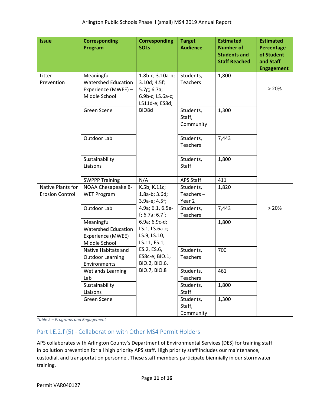| <b>Issue</b>                                | <b>Corresponding</b><br>Program                                                  | <b>Corresponding</b><br><b>SOLs</b>                                                   | <b>Target</b><br><b>Audience</b>    | <b>Estimated</b><br><b>Number of</b><br><b>Students and</b><br><b>Staff Reached</b> | <b>Estimated</b><br>Percentage<br>of Student<br>and Staff<br><b>Engagement</b> |
|---------------------------------------------|----------------------------------------------------------------------------------|---------------------------------------------------------------------------------------|-------------------------------------|-------------------------------------------------------------------------------------|--------------------------------------------------------------------------------|
| Litter<br>Prevention                        | Meaningful<br><b>Watershed Education</b><br>Experience (MWEE) -<br>Middle School | 1.8b-c; 3.10a-b;<br>3.10d; 4.5f;<br>5.7g; 6.7a;<br>6.9b-c; LS.6a-c;<br>LS11d-e; ES8d; | Students,<br>Teachers               | 1,800                                                                               | > 20%                                                                          |
|                                             | Green Scene                                                                      | BIO8d                                                                                 | Students,<br>Staff,<br>Community    | 1,300                                                                               |                                                                                |
|                                             | Outdoor Lab                                                                      |                                                                                       | Students,<br>Teachers               | 7,443                                                                               |                                                                                |
|                                             | Sustainability<br>Liaisons                                                       |                                                                                       | Students,<br>Staff                  | 1,800                                                                               |                                                                                |
|                                             | <b>SWPPP Training</b>                                                            | N/A                                                                                   | <b>APS Staff</b>                    | 411                                                                                 |                                                                                |
| Native Plants for<br><b>Erosion Control</b> | NOAA Chesapeake B-<br><b>WET Program</b>                                         | K.5b; K.11c;<br>$1.8a-b; 3.6d;$<br>3.9a-e; 4.5f;                                      | Students,<br>Teachers $-$<br>Year 2 | 1,820                                                                               |                                                                                |
|                                             | Outdoor Lab                                                                      | 4.9a; 6.1, 6.5e-<br>$f$ ; 6.7a; 6.7 $f$ ;                                             | Students,<br>Teachers               | 7,443                                                                               | > 20%                                                                          |
|                                             | Meaningful<br><b>Watershed Education</b><br>Experience (MWEE) -<br>Middle School | 6.9a; 6.9c-d;<br>LS.1, LS.6a-c;<br>LS.9, LS.10,<br>LS.11, ES.1,                       |                                     | 1,800                                                                               |                                                                                |
|                                             | Native Habitats and<br><b>Outdoor Learning</b><br>Environments                   | ES.2, ES.6,<br>ES8c-e; BIO.1,<br>BIO.2, BIO.6,                                        | Students,<br>Teachers               | 700                                                                                 |                                                                                |
|                                             | <b>Wetlands Learning</b><br>Lab                                                  | <b>BIO.7, BIO.8</b>                                                                   | Students,<br>Teachers               | 461                                                                                 |                                                                                |
|                                             | Sustainability<br>Liaisons                                                       |                                                                                       | Students,<br>Staff                  | 1,800                                                                               |                                                                                |
|                                             | Green Scene                                                                      |                                                                                       | Students,<br>Staff,<br>Community    | 1,300                                                                               |                                                                                |

*Table 2 – Programs and Engagement*

# <span id="page-10-0"></span>Part I.E.2.f (5) - Collaboration with Other MS4 Permit Holders

APS collaborates with Arlington County's Department of Environmental Services (DES) for training staff in pollution prevention for all high priority APS staff. High priority staff includes our maintenance, custodial, and transportation personnel. These staff members participate biennially in our stormwater training.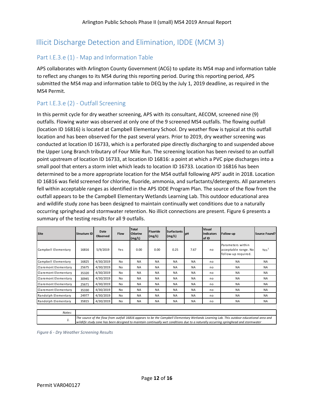# <span id="page-11-0"></span>Illicit Discharge Detection and Elimination, IDDE (MCM 3)

# <span id="page-11-1"></span>Part I.E.3.e (1) - Map and Information Table

APS collaborates with Arlington County Government (ACG) to update its MS4 map and information table to reflect any changes to its MS4 during this reporting period. During this reporting period, APS submitted the MS4 map and information table to DEQ by the July 1, 2019 deadline, as required in the MS4 Permit.

# <span id="page-11-2"></span>Part I.E.3.e (2) - Outfall Screening

In this permit cycle for dry weather screening, APS with its consultant, AECOM, screened nine (9) outfalls. Flowing water was observed at only one of the 9 screened MS4 outfalls. The flowing outfall (location ID 16816) is located at Campbell Elementary School. Dry weather flow is typical at this outfall location and has been observed for the past several years. Prior to 2019, dry weather screening was conducted at location ID 16733, which is a perforated pipe directly discharging to and suspended above the Upper Long Branch tributary of Four Mile Run. The screening location has been revised to an outfall point upstream of location ID 16733, at location ID 16816: a point at which a PVC pipe discharges into a small pool that enters a storm inlet which leads to location ID 16733. Location ID 16816 has been determined to be a more appropriate location for the MS4 outfall following APS' audit in 2018. Location ID 16816 was field screened for chlorine, fluoride, ammonia, and surfactants/detergents. All parameters fell within acceptable ranges as identified in the APS IDDE Program Plan. The source of the flow from the outfall appears to be the Campbell Elementary Wetlands Learning Lab. This outdoor educational area and wildlife study zone has been designed to maintain continually wet conditions due to a naturally occurring springhead and stormwater retention. No illicit connections are present. Figure 6 presents a summary of the testing results for all 9 outfalls.

| Site                 | <b>Structure ID</b> | Date<br><b>Observed</b>                                                                                                                                                                                                                                                         | <b>Flow</b> | <b>Total</b><br>Chlorine<br>(mg/L) | <b>Fluoride</b><br>(mg/L) | <b>Surfactants</b><br>(mg/L) | <b>I</b> pH | <b>Visual</b><br><b>Indicators</b><br>of ID | Follow-up                                                        | Source Found?    |
|----------------------|---------------------|---------------------------------------------------------------------------------------------------------------------------------------------------------------------------------------------------------------------------------------------------------------------------------|-------------|------------------------------------|---------------------------|------------------------------|-------------|---------------------------------------------|------------------------------------------------------------------|------------------|
| Campbell Elementary  | 16816               | 5/9/2019                                                                                                                                                                                                                                                                        | Yes         | 0.00                               | 0.00                      | 0.25                         | 7.67        | no                                          | Parameters within<br>acceptable range. No<br>follow-up required. | Yes <sup>1</sup> |
| Campbell Elementary  | 16825               | 4/30/2019                                                                                                                                                                                                                                                                       | No          | <b>NA</b>                          | <b>NA</b>                 | <b>NA</b>                    | <b>NA</b>   | no                                          | <b>NA</b>                                                        | <b>NA</b>        |
| Claremont Elementary | 25675               | 4/30/2019                                                                                                                                                                                                                                                                       | No          | <b>NA</b>                          | <b>NA</b>                 | <b>NA</b>                    | <b>NA</b>   | no                                          | <b>NA</b>                                                        | <b>NA</b>        |
| Claremont Elementary | 35320               | 4/30/2019                                                                                                                                                                                                                                                                       | No          | <b>NA</b>                          | <b>NA</b>                 | <b>NA</b>                    | <b>NA</b>   | no                                          | <b>NA</b>                                                        | <b>NA</b>        |
| Claremont Elementary | 30945               | 4/30/2019                                                                                                                                                                                                                                                                       | No          | <b>NA</b>                          | <b>NA</b>                 | <b>NA</b>                    | <b>NA</b>   | no                                          | <b>NA</b>                                                        | <b>NA</b>        |
| Claremont Elementary | 25671               | 4/30/2019                                                                                                                                                                                                                                                                       | No          | <b>NA</b>                          | <b>NA</b>                 | <b>NA</b>                    | <b>NA</b>   | no                                          | <b>NA</b>                                                        | <b>NA</b>        |
| Claremont Elementary | 35330               | 4/30/2019                                                                                                                                                                                                                                                                       | No          | <b>NA</b>                          | <b>NA</b>                 | <b>NA</b>                    | <b>NA</b>   | no                                          | <b>NA</b>                                                        | <b>NA</b>        |
| Randolph Elementary  | 24977               | 4/30/2019                                                                                                                                                                                                                                                                       | No          | <b>NA</b>                          | <b>NA</b>                 | <b>NA</b>                    | <b>NA</b>   | no                                          | <b>NA</b>                                                        | <b>NA</b>        |
| Randolph Elementary  | 35815               | 4/30/2019                                                                                                                                                                                                                                                                       | No          | <b>NA</b>                          | <b>NA</b>                 | <b>NA</b>                    | <b>NA</b>   | no                                          | <b>NA</b>                                                        | <b>NA</b>        |
|                      |                     |                                                                                                                                                                                                                                                                                 |             |                                    |                           |                              |             |                                             |                                                                  |                  |
| Notes:               |                     |                                                                                                                                                                                                                                                                                 |             |                                    |                           |                              |             |                                             |                                                                  |                  |
| 1.                   |                     | The source of the flow from outfall 16816 appears to be the Campbell Elementary Wetlands Learning Lab. This outdoor educational area and<br>wildlife study zone has been designed to maintain continually wet conditions due to a naturally occurring springhead and stormwater |             |                                    |                           |                              |             |                                             |                                                                  |                  |

*Figure 6 - Dry Weather Screening Results*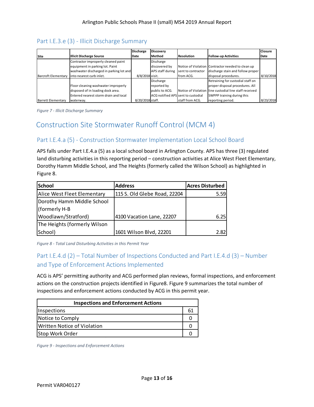# <span id="page-12-0"></span>Part I.E.3.e (3) - Illicit Discharge Summary

|                           |                                              | <b>Discharge</b> | <b>Discovery</b>                   |                    |                                                        | <b>Closure</b> |
|---------------------------|----------------------------------------------|------------------|------------------------------------|--------------------|--------------------------------------------------------|----------------|
| <b>Site</b>               | <b>Illicit Discharge Source</b>              | Date             | Method                             | <b>Resolution</b>  | <b>Follow-up Activities</b>                            | Date           |
|                           | Contractor improperly cleaned paint          |                  | Discharge                          |                    |                                                        |                |
|                           | equipment in parking lot. Paint              |                  | discovered by                      |                    | Notice of Violation Contractor needed to clean up      |                |
|                           | washwater discharged in parking lot and      |                  | APS staff during                   | sent to contractor | discharge stain and follow proper                      |                |
|                           | Barcroft Elementary into nearest curb inlet. | 8/8/2018 visit.  |                                    | from ACG.          | disposal procedures.                                   | 8/10/2018      |
|                           |                                              |                  | Discharge                          |                    | Retraining for custodial staff on                      |                |
|                           | Floor cleaning washwater improperly          |                  | reported by                        |                    | proper disposal procedures. All                        |                |
|                           | disposed of in loading dock area.            |                  | public to ACG.                     |                    | Notice of Violation line custodial line staff received |                |
|                           | Entered nearest storm drain and local        |                  | ACG notified APS sent to custodial |                    | SWPPP training during this                             |                |
| <b>Barrett Elementary</b> | waterway.                                    | 8/20/2018 staff. |                                    | staff from ACG.    | reporting period.                                      | 8/23/2018      |

*Figure 7 - Illicit Discharge Summary*

# <span id="page-12-1"></span>Construction Site Stormwater Runoff Control (MCM 4)

# <span id="page-12-2"></span>Part I.E.4.a (5) - Construction Stormwater Implementation Local School Board

APS falls under Part I.E.4.a (5) as a local school board in Arlington County. APS has three (3) regulated land disturbing activities in this reporting period – construction activities at Alice West Fleet Elementary, Dorothy Hamm Middle School, and The Heights (formerly called the Wilson School) as highlighted in Figure 8.

| <b>School</b>                | <b>Address</b>               | <b>Acres Disturbed</b> |
|------------------------------|------------------------------|------------------------|
| Alice West Fleet Elementary  | 115 S. Old Glebe Road, 22204 | 5.59                   |
| Dorothy Hamm Middle School   |                              |                        |
| (formerly H-B                |                              |                        |
| Woodlawn/Stratford)          | 4100 Vacation Lane, 22207    | 6.25                   |
| The Heights (formerly Wilson |                              |                        |
| School)                      | 1601 Wilson Blvd, 22201      | 2.82                   |

*Figure 8 - Total Land Disturbing Activities in this Permit Year*

# <span id="page-12-3"></span>Part I.E.4.d (2) – Total Number of Inspections Conducted and Part I.E.4.d (3) – Number and Type of Enforcement Actions Implemented

ACG is APS' permitting authority and ACG performed plan reviews, formal inspections, and enforcement actions on the construction projects identified in Figure8. Figure 9 summarizes the total number of inspections and enforcement actions conducted by ACG in this permit year.

| <b>Inspections and Enforcement Actions</b> |    |  |  |  |  |
|--------------------------------------------|----|--|--|--|--|
| <i><u><b>Inspections</b></u></i>           | 61 |  |  |  |  |
| Notice to Comply                           |    |  |  |  |  |
| Written Notice of Violation                |    |  |  |  |  |
| Stop Work Order                            |    |  |  |  |  |

*Figure 9 - Inspections and Enforcement Actions*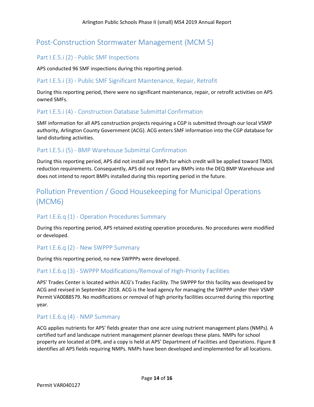# <span id="page-13-0"></span>Post-Construction Stormwater Management (MCM 5)

# <span id="page-13-1"></span>Part I.E.5.i (2) - Public SMF Inspections

APS conducted 96 SMF inspections during this reporting period.

### <span id="page-13-2"></span>Part I.E.5.i (3) - Public SMF Significant Maintenance, Repair, Retrofit

During this reporting period, there were no significant maintenance, repair, or retrofit activities on APS owned SMFs.

# <span id="page-13-3"></span>Part I.E.5.i (4) - Construction Database Submittal Confirmation

SMF information for all APS construction projects requiring a CGP is submitted through our local VSMP authority, Arlington County Government (ACG). ACG enters SMF information into the CGP database for land disturbing activities.

# <span id="page-13-4"></span>Part I.E.5.i (5) - BMP Warehouse Submittal Confirmation

During this reporting period, APS did not install any BMPs for which credit will be applied toward TMDL reduction requirements. Consequently, APS did not report any BMPs into the DEQ BMP Warehouse and does not intend to report BMPs installed during this reporting period in the future.

# <span id="page-13-5"></span>Pollution Prevention / Good Housekeeping for Municipal Operations (MCM6)

# <span id="page-13-6"></span>Part I.E.6.q (1) - Operation Procedures Summary

During this reporting period, APS retained existing operation procedures. No procedures were modified or developed.

## <span id="page-13-7"></span>Part I.E.6.q (2) - New SWPPP Summary

During this reporting period, no new SWPPPs were developed.

## <span id="page-13-8"></span>Part I.E.6.q (3) - SWPPP Modifications/Removal of High-Priority Facilities

APS' Trades Center is located within ACG's Trades Facility. The SWPPP for this facility was developed by ACG and revised in September 2018. ACG is the lead agency for managing the SWPPP under their VSMP Permit VA0088579. No modifications or removal of high priority facilities occurred during this reporting year.

## <span id="page-13-9"></span>Part I.E.6.q (4) - NMP Summary

ACG applies nutrients for APS' fields greater than one acre using nutrient management plans (NMPs). A certified turf and landscape nutrient management planner develops these plans. NMPs for school property are located at DPR, and a copy is held at APS' Department of Facilities and Operations. Figure 8 identifies all APS fields requiring NMPs. NMPs have been developed and implemented for all locations.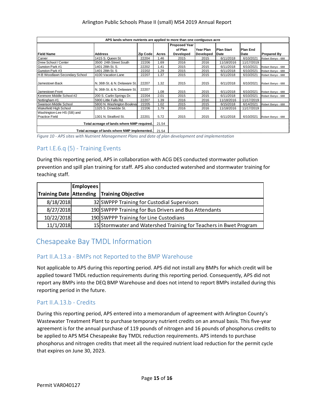| APS lands where nutrients are applied to more than one contiguous acre    |                               |          |       |                                 |                  |                   |                 |                    |
|---------------------------------------------------------------------------|-------------------------------|----------|-------|---------------------------------|------------------|-------------------|-----------------|--------------------|
|                                                                           |                               |          |       | <b>Proposed Year</b><br>of Plan | Year Plan        | <b>Plan Start</b> | <b>Plan End</b> |                    |
| <b>IField Name</b>                                                        | <b>Address</b>                | Zip Code | Acres | <b>Developed</b>                | <b>Developed</b> | Date              | Date            | <b>Prepared By</b> |
| Carver                                                                    | 1415 S. Queen St.             | 22204    | 1.46  | 2015                            | 2015             | 6/11/2018         | 6/10/2021       | Robert Benyo - 688 |
| Drew School / Center                                                      | 3500 24th Street South        | 22206    | 1.69  | 2016                            | 2016             | 11/18/2016        | 11/17/2019      |                    |
| Gunston Park #1                                                           | 1401 28th St. S.              | 22202    | 1.41  | 2015                            | 2015             | 6/11/2018         | 6/10/2021       | Robert Benyo - 688 |
| <b>I</b> Gunston Park #3                                                  | 1401 28th St. S               | 22202    | 1.29  | 2015                            | 2015             | 6/11/2018         | 6/10/2021       | Robert Benyo - 688 |
| H-B Woodlawn Secondary School                                             | 4100 Vacation Lane            | 22207    | 1.37  | 2015                            | 2015             | 6/11/2018         | 6/10/2021       | Robert Benyo - 688 |
| Jamestown Back                                                            | N. 36th St. & N. Delaware St. | 22207    | 1.32  | 2015                            | 2015             | 6/11/2018         | 6/10/2021       | Robert Benyo - 688 |
| Jamestown Front                                                           | N. 36th St. & N. Delaware St. | 22207    | 1.08  | 2015                            | 2015             | 6/11/2018         | 6/10/2021       | Robert Benyo - 688 |
| Kenmore Middle School #2                                                  | 200 S. Carlin Springs Dr.     | 22204    | 2.01  | 2015                            | 2015             | 6/11/2018         | 6/10/2021       | Robert Benyo - 688 |
| Nottingham #1                                                             | 5900 Little Falls Rd.         | 22207    | 1.39  | 2016                            | 2016             | 11/18/2016        | 11/17/2019      |                    |
| Swanson Middle School                                                     | 5800 N. Washington Bouleval   | 22205    | 1.02  | 2015                            | 2015             | 6/15/2018         | 6/14/2021       | Robert Benyo - 688 |
| <b>Wakefield High School</b>                                              | 1325 S. Dinwidde St.          | 22206    | 1.79  | 2016                            | 2016             | 11/18/2016        | 11/17/2019      |                    |
| Washington-Lee HS (SB) and<br><b>Practice Field</b>                       | 1301 N. Stratford St.         | 22201    | 5.72  | 2015                            | 2015             | 6/11/2018         | 6/10/2021       |                    |
| Robert Benyo - 688<br>Total acreage of lands where NMP required.<br>21.54 |                               |          |       |                                 |                  |                   |                 |                    |
| Total acreage of lands where NMP implemented.<br>21.54                    |                               |          |       |                                 |                  |                   |                 |                    |

*Figure 10 - APS sites with Nutrient Management Plans and date of plan development and implementation*

# <span id="page-14-0"></span>Part I.E.6.q (5) - Training Events

During this reporting period, APS in collaboration with ACG DES conducted stormwater pollution prevention and spill plan training for staff. APS also conducted watershed and stormwater training for teaching staff.

|            | <b>Employees</b> |                                                                   |
|------------|------------------|-------------------------------------------------------------------|
|            |                  | Training Date Attending Training Objective                        |
| 8/18/2018  |                  | 32 SWPPP Training for Custodial Supervisors                       |
| 8/27/2018  |                  | 190 SWPPP Training for Bus Drivers and Bus Attendants             |
| 10/22/2018 |                  | 190 SWPPP Training for Line Custodians                            |
| 11/1/2018  |                  | 15 Stormwater and Watershed Training for Teachers in Bwet Program |

# <span id="page-14-1"></span>Chesapeake Bay TMDL Information

#### <span id="page-14-2"></span>Part II.A.13.a - BMPs not Reported to the BMP Warehouse

Not applicable to APS during this reporting period. APS did not install any BMPs for which credit will be applied toward TMDL reduction requirements during this reporting period. Consequently, APS did not report any BMPs into the DEQ BMP Warehouse and does not intend to report BMPs installed during this reporting period in the future.

## <span id="page-14-3"></span>Part II.A.13.b - Credits

During this reporting period, APS entered into a memorandum of agreement with Arlington County's Wastewater Treatment Plant to purchase temporary nutrient credits on an annual basis. This five-year agreement is for the annual purchase of 119 pounds of nitrogen and 16 pounds of phosphorus credits to be applied to APS MS4 Chesapeake Bay TMDL reduction requirements. APS intends to purchase phosphorus and nitrogen credits that meet all the required nutrient load reduction for the permit cycle that expires on June 30, 2023.